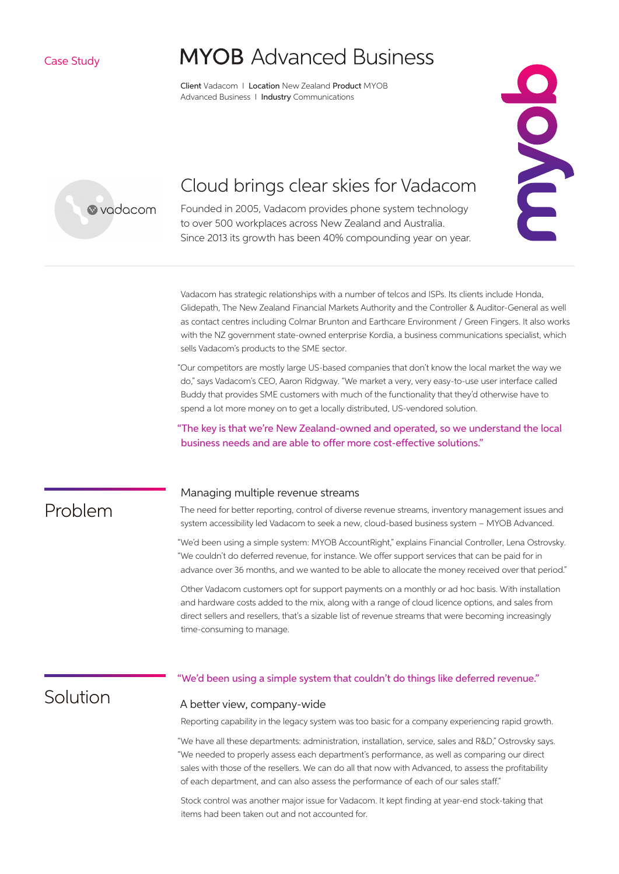Case Study

# **MYOB** Advanced Business

Client Vadacom I Location New Zealand Product MYOB Advanced Business | Industry Communications

EXC



## Cloud brings clear skies for Vadacom

Founded in 2005, Vadacom provides phone system technology to over 500 workplaces across New Zealand and Australia. Since 2013 its growth has been 40% compounding year on year.

Vadacom has strategic relationships with a number of telcos and ISPs. Its clients include Honda, Glidepath, The New Zealand Financial Markets Authority and the Controller & Auditor-General as well as contact centres including Colmar Brunton and Earthcare Environment / Green Fingers. It also works with the NZ government state-owned enterprise Kordia, a business communications specialist, which sells Vadacom's products to the SME sector.

"Our competitors are mostly large US-based companies that don't know the local market the way we do," says Vadacom's CEO, Aaron Ridgway. "We market a very, very easy-to-use user interface called Buddy that provides SME customers with much of the functionality that they'd otherwise have to spend a lot more money on to get a locally distributed, US-vendored solution.

"The key is that we're New Zealand-owned and operated, so we understand the local business needs and are able to offer more cost-effective solutions."

### Problem

#### Managing multiple revenue streams

The need for better reporting, control of diverse revenue streams, inventory management issues and system accessibility led Vadacom to seek a new, cloud-based business system – MYOB Advanced.

"We'd been using a simple system: MYOB AccountRight," explains Financial Controller, Lena Ostrovsky. "We couldn't do deferred revenue, for instance. We offer support services that can be paid for in advance over 36 months, and we wanted to be able to allocate the money received over that period."

Other Vadacom customers opt for support payments on a monthly or ad hoc basis. With installation and hardware costs added to the mix, along with a range of cloud licence options, and sales from direct sellers and resellers, that's a sizable list of revenue streams that were becoming increasingly time-consuming to manage.

### Solution

#### "We'd been using a simple system that couldn't do things like deferred revenue."

#### A better view, company-wide

Reporting capability in the legacy system was too basic for a company experiencing rapid growth.

"We have all these departments: administration, installation, service, sales and R&D," Ostrovsky says. "We needed to properly assess each department's performance, as well as comparing our direct sales with those of the resellers. We can do all that now with Advanced, to assess the profitability of each department, and can also assess the performance of each of our sales staff."

Stock control was another major issue for Vadacom. It kept finding at year-end stock-taking that items had been taken out and not accounted for.